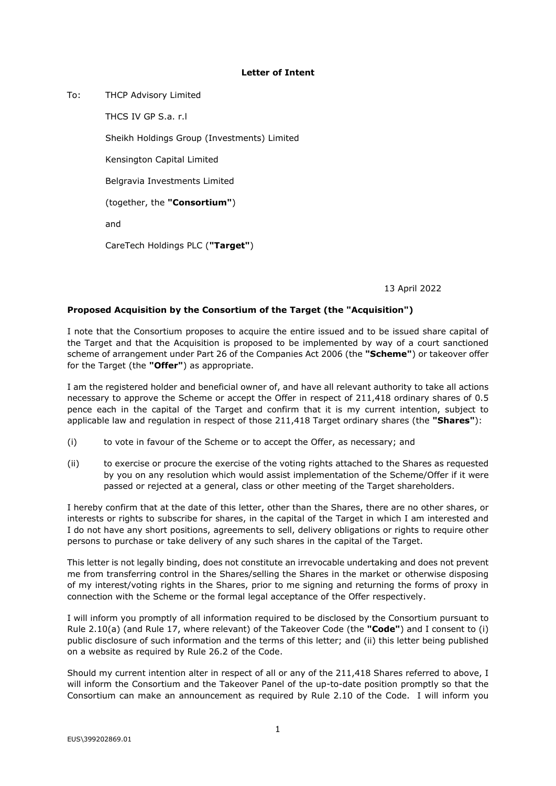## **Letter of Intent**

To: THCP Advisory Limited

THCS IV GP S.a. r.l

Sheikh Holdings Group (Investments) Limited

Kensington Capital Limited

Belgravia Investments Limited

(together, the **"Consortium"**)

and

CareTech Holdings PLC (**"Target"**)

13 April 2022

## **Proposed Acquisition by the Consortium of the Target (the "Acquisition")**

I note that the Consortium proposes to acquire the entire issued and to be issued share capital of the Target and that the Acquisition is proposed to be implemented by way of a court sanctioned scheme of arrangement under Part 26 of the Companies Act 2006 (the **"Scheme"**) or takeover offer for the Target (the **"Offer"**) as appropriate.

I am the registered holder and beneficial owner of, and have all relevant authority to take all actions necessary to approve the Scheme or accept the Offer in respect of 211,418 ordinary shares of 0.5 pence each in the capital of the Target and confirm that it is my current intention, subject to applicable law and regulation in respect of those 211,418 Target ordinary shares (the **"Shares"**):

- (i) to vote in favour of the Scheme or to accept the Offer, as necessary; and
- (ii) to exercise or procure the exercise of the voting rights attached to the Shares as requested by you on any resolution which would assist implementation of the Scheme/Offer if it were passed or rejected at a general, class or other meeting of the Target shareholders.

I hereby confirm that at the date of this letter, other than the Shares, there are no other shares, or interests or rights to subscribe for shares, in the capital of the Target in which I am interested and I do not have any short positions, agreements to sell, delivery obligations or rights to require other persons to purchase or take delivery of any such shares in the capital of the Target.

This letter is not legally binding, does not constitute an irrevocable undertaking and does not prevent me from transferring control in the Shares/selling the Shares in the market or otherwise disposing of my interest/voting rights in the Shares, prior to me signing and returning the forms of proxy in connection with the Scheme or the formal legal acceptance of the Offer respectively.

I will inform you promptly of all information required to be disclosed by the Consortium pursuant to Rule 2.10(a) (and Rule 17, where relevant) of the Takeover Code (the **"Code"**) and I consent to (i) public disclosure of such information and the terms of this letter; and (ii) this letter being published on a website as required by Rule 26.2 of the Code.

Should my current intention alter in respect of all or any of the 211,418 Shares referred to above, I will inform the Consortium and the Takeover Panel of the up-to-date position promptly so that the Consortium can make an announcement as required by Rule 2.10 of the Code. I will inform you